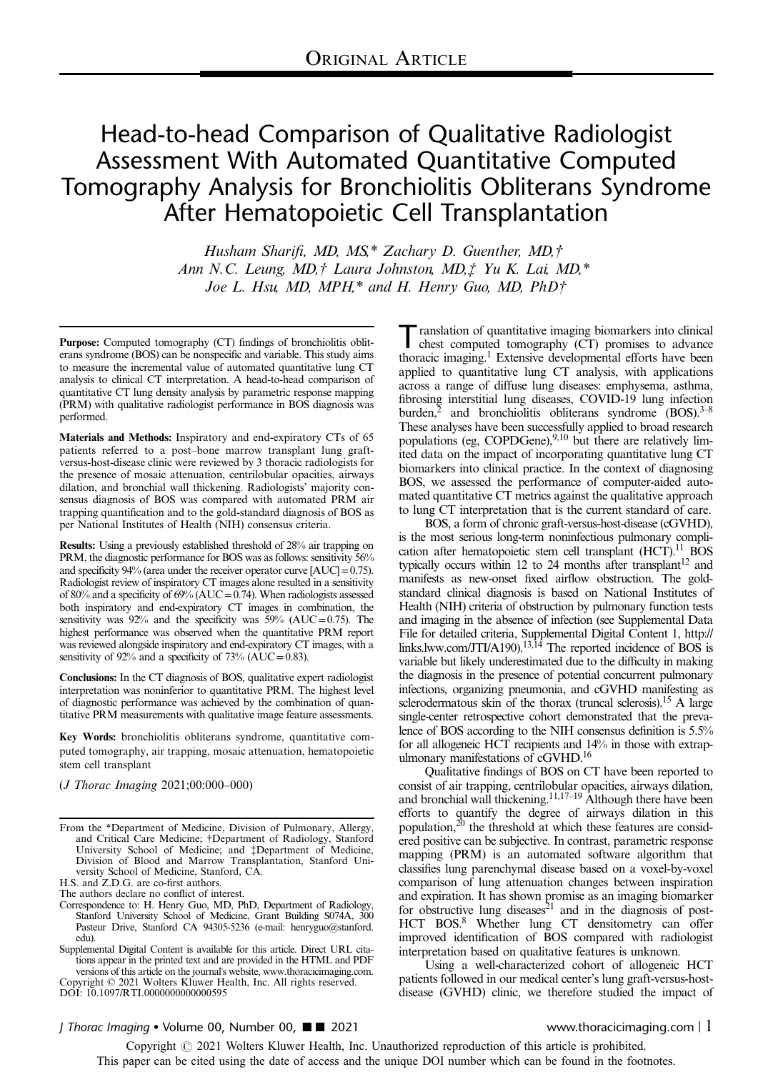# Head-to-head Comparison of Qualitative Radiologist Assessment With Automated Quantitative Computed Tomography Analysis for Bronchiolitis Obliterans Syndrome After Hematopoietic Cell Transplantation

Husham Sharifi, MD, MS,\* Zachary D. Guenther, MD,† Ann N.C. Leung, MD,† Laura Johnston, MD,‡ Yu K. Lai, MD,\* Joe L. Hsu, MD, MPH,\* and H. Henry Guo, MD, PhD†

Purpose: Computed tomography (CT) findings of bronchiolitis obliterans syndrome (BOS) can be nonspecific and variable. This study aims to measure the incremental value of automated quantitative lung CT analysis to clinical CT interpretation. A head-to-head comparison of quantitative CT lung density analysis by parametric response mapping (PRM) with qualitative radiologist performance in BOS diagnosis was performed.

Materials and Methods: Inspiratory and end-expiratory CTs of 65 patients referred to a post–bone marrow transplant lung graftversus-host-disease clinic were reviewed by 3 thoracic radiologists for the presence of mosaic attenuation, centrilobular opacities, airways dilation, and bronchial wall thickening. Radiologists' majority consensus diagnosis of BOS was compared with automated PRM air trapping quantification and to the gold-standard diagnosis of BOS as per National Institutes of Health (NIH) consensus criteria.

Results: Using a previously established threshold of 28% air trapping on PRM, the diagnostic performance for BOS was as follows: sensitivity 56% and specificity  $94\%$  (area under the receiver operator curve [AUC] = 0.75). Radiologist review of inspiratory CT images alone resulted in a sensitivity of 80% and a specificity of 69% (AUC = 0.74). When radiologists assessed both inspiratory and end-expiratory CT images in combination, the sensitivity was  $92\%$  and the specificity was  $59\%$  (AUC=0.75). The highest performance was observed when the quantitative PRM report was reviewed alongside inspiratory and end-expiratory CT images, with a sensitivity of 92% and a specificity of 73% ( $AUC=0.83$ ).

Conclusions: In the CT diagnosis of BOS, qualitative expert radiologist interpretation was noninferior to quantitative PRM. The highest level of diagnostic performance was achieved by the combination of quantitative PRM measurements with qualitative image feature assessments.

Key Words: bronchiolitis obliterans syndrome, quantitative computed tomography, air trapping, mosaic attenuation, hematopoietic stem cell transplant

(J Thorac Imaging 2021;00:000–000)

Correspondence to: H. Henry Guo, MD, PhD, Department of Radiology, Stanford University School of Medicine, Grant Building S074A, 300 Pasteur Drive, Stanford CA 94305-5236 (e-mail: [henryguo@stanford.](mailto:henryguo@stanford.edu) [edu](mailto:henryguo@stanford.edu)).

Supplemental Digital Content is available for this article. Direct URL citations appear in the printed text and are provided in the HTML and PDF versions of this article on the journal's website, [www.thoracicimaging.com.](http://www.thoracicimaging.com)

Copyright © 2021 Wolters Kluwer Health, Inc. All rights reserved. DOI: 10.1097/RTI.0000000000000595

Translation of quantitative imaging biomarkers into clinical<br>chest computed tomography (CT) promises to advance<br>there is integral. Entergine developmental offerts have been thoracic imaging.[1](#page-6-0) Extensive developmental efforts have been applied to quantitative lung CT analysis, with applications across a range of diffuse lung diseases: emphysema, asthma, fibrosing interstitial lung diseases, COVID-19 lung infection burden,<sup>2</sup> and bronchiolitis obliterans syndrome  $(BOS)$ .<sup>3–8</sup> These analyses have been successfully applied to broad research populations (eg, COPDGene),<sup>9,10</sup> but there are relatively limited data on the impact of incorporating quantitative lung CT biomarkers into clinical practice. In the context of diagnosing BOS, we assessed the performance of computer-aided automated quantitative CT metrics against the qualitative approach to lung CT interpretation that is the current standard of care.

BOS, a form of chronic graft-versus-host-disease (cGVHD), is the most serious long-term noninfectious pulmonary compli-cation after hematopoietic stem cell transplant (HCT).<sup>[11](#page-7-0)</sup> BOS typically occurs within [12](#page-7-0) to 24 months after transplant<sup>12</sup> and manifests as new-onset fixed airflow obstruction. The goldstandard clinical diagnosis is based on National Institutes of Health (NIH) criteria of obstruction by pulmonary function tests and imaging in the absence of infection (see Supplemental Data File for detailed criteria, Supplemental Digital Content 1, [http://](http://links.lww.com/JTI/A190) [links.lww.com/JTI/A190\)](http://links.lww.com/JTI/A190).<sup>[13,14](#page-7-0)</sup> The reported incidence of BOS is variable but likely underestimated due to the difficulty in making the diagnosis in the presence of potential concurrent pulmonary infections, organizing pneumonia, and cGVHD manifesting as sclerodermatous skin of the thorax (truncal sclerosis).<sup>15</sup> A large single-center retrospective cohort demonstrated that the prevalence of BOS according to the NIH consensus definition is 5.5% for all allogeneic HCT recipients and 14% in those with extrapulmonary manifestations of cGVHD.<sup>16</sup>

Qualitative findings of BOS on CT have been reported to consist of air trapping, centrilobular opacities, airways dilation, and bronchial wall thickening.<sup>11,17–19</sup> Although there have been efforts to quantify the degree of airways dilation in this population, $^{20}$  the threshold at which these features are considered positive can be subjective. In contrast, parametric response mapping (PRM) is an automated software algorithm that classifies lung parenchymal disease based on a voxel-by-voxel comparison of lung attenuation changes between inspiration and expiration. It has shown promise as an imaging biomarker for obstructive lung diseases<sup>21</sup> and in the diagnosis of post-HCT BOS.<sup>[8](#page-6-0)</sup> Whether lung CT densitometry can offer improved identification of BOS compared with radiologist interpretation based on qualitative features is unknown.

Using a well-characterized cohort of allogeneic HCT patients followed in our medical center's lung graft-versus-hostdisease (GVHD) clinic, we therefore studied the impact of

### J Thorac Imaging • Volume 00, Number 00,  $\blacksquare$  2021 www.thoracicimaging.com | 1

From the \*Department of Medicine, Division of Pulmonary, Allergy, and Critical Care Medicine; †Department of Radiology, Stanford University School of Medicine; and ‡Department of Medicine, Division of Blood and Marrow Transplantation, Stanford University School of Medicine, Stanford, CA.

H.S. and Z.D.G. are co-first authors.

The authors declare no conflict of interest.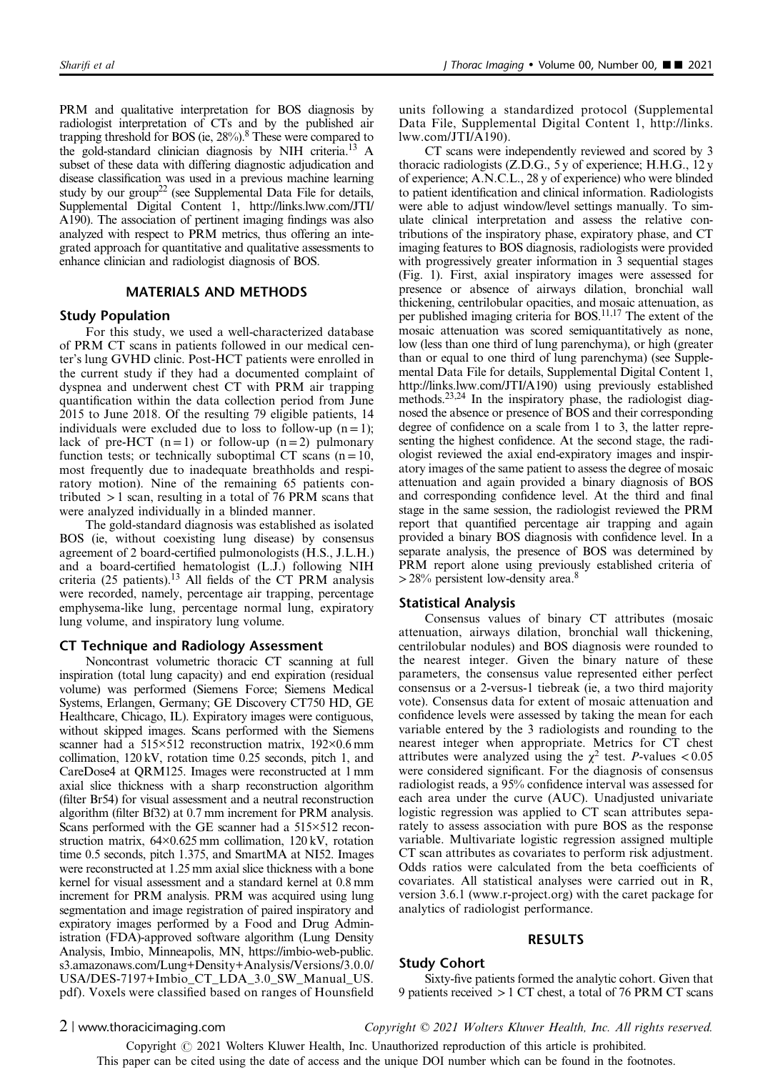PRM and qualitative interpretation for BOS diagnosis by radiologist interpretation of CTs and by the published air trapping threshold for BOS (ie, 28%).<sup>8</sup> These were compared to the gold-standard clinician diagnosis by NIH criteria[.13](#page-7-0) A subset of these data with differing diagnostic adjudication and disease classification was used in a previous machine learning study by our group<sup>22</sup> (see Supplemental Data File for details, Supplemental Digital Content 1, [http://links.lww.com/JTI/](http://links.lww.com/JTI/A190) [A190](http://links.lww.com/JTI/A190)). The association of pertinent imaging findings was also analyzed with respect to PRM metrics, thus offering an integrated approach for quantitative and qualitative assessments to enhance clinician and radiologist diagnosis of BOS.

### MATERIALS AND METHODS

### Study Population

For this study, we used a well-characterized database of PRM CT scans in patients followed in our medical center's lung GVHD clinic. Post-HCT patients were enrolled in the current study if they had a documented complaint of dyspnea and underwent chest CT with PRM air trapping quantification within the data collection period from June 2015 to June 2018. Of the resulting 79 eligible patients, 14 individuals were excluded due to loss to follow-up  $(n = 1)$ ; lack of pre-HCT  $(n=1)$  or follow-up  $(n=2)$  pulmonary function tests; or technically suboptimal CT scans  $(n = 10)$ , most frequently due to inadequate breathholds and respiratory motion). Nine of the remaining 65 patients contributed  $>1$  scan, resulting in a total of 76 PRM scans that were analyzed individually in a blinded manner.

The gold-standard diagnosis was established as isolated BOS (ie, without coexisting lung disease) by consensus agreement of 2 board-certified pulmonologists (H.S., J.L.H.) and a board-certified hematologist (L.J.) following NIH criteria (25 patients).<sup>13</sup> All fields of the CT PRM analysis were recorded, namely, percentage air trapping, percentage emphysema-like lung, percentage normal lung, expiratory lung volume, and inspiratory lung volume.

### CT Technique and Radiology Assessment

Noncontrast volumetric thoracic CT scanning at full inspiration (total lung capacity) and end expiration (residual volume) was performed (Siemens Force; Siemens Medical Systems, Erlangen, Germany; GE Discovery CT750 HD, GE Healthcare, Chicago, IL). Expiratory images were contiguous, without skipped images. Scans performed with the Siemens scanner had a 515×512 reconstruction matrix, 192×0.6 mm collimation, 120 kV, rotation time 0.25 seconds, pitch 1, and CareDose4 at QRM125. Images were reconstructed at 1 mm axial slice thickness with a sharp reconstruction algorithm (filter Br54) for visual assessment and a neutral reconstruction algorithm (filter Bf32) at 0.7 mm increment for PRM analysis. Scans performed with the GE scanner had a 515×512 reconstruction matrix, 64×0.625 mm collimation, 120 kV, rotation time 0.5 seconds, pitch 1.375, and SmartMA at NI52. Images were reconstructed at 1.25 mm axial slice thickness with a bone kernel for visual assessment and a standard kernel at 0.8 mm increment for PRM analysis. PRM was acquired using lung segmentation and image registration of paired inspiratory and expiratory images performed by a Food and Drug Administration (FDA)-approved software algorithm (Lung Density Analysis, Imbio, Minneapolis, MN, [https://imbio-web-public.](https://imbio-web-public.s3.amazonaws.com/Lung+Density+Analysis/Versions/3.0.0/USA/DES-7197+Imbio_CT_LDA_3.0_SW_Manual_US.pdf) [s3.amazonaws.com/Lung+Density+Analysis/Versions/3.0.0/](https://imbio-web-public.s3.amazonaws.com/Lung+Density+Analysis/Versions/3.0.0/USA/DES-7197+Imbio_CT_LDA_3.0_SW_Manual_US.pdf) [USA/DES-7197+Imbio\\_CT\\_LDA\\_3.0\\_SW\\_Manual\\_US.](https://imbio-web-public.s3.amazonaws.com/Lung+Density+Analysis/Versions/3.0.0/USA/DES-7197+Imbio_CT_LDA_3.0_SW_Manual_US.pdf) [pdf](https://imbio-web-public.s3.amazonaws.com/Lung+Density+Analysis/Versions/3.0.0/USA/DES-7197+Imbio_CT_LDA_3.0_SW_Manual_US.pdf)). Voxels were classified based on ranges of Hounsfield

units following a standardized protocol (Supplemental Data File, Supplemental Digital Content 1, [http://links.](http://links.lww.com/JTI/A190) [lww.com/JTI/A190](http://links.lww.com/JTI/A190)).

CT scans were independently reviewed and scored by 3 thoracic radiologists (Z.D.G., 5 y of experience; H.H.G., 12 y of experience; A.N.C.L., 28 y of experience) who were blinded to patient identification and clinical information. Radiologists were able to adjust window/level settings manually. To simulate clinical interpretation and assess the relative contributions of the inspiratory phase, expiratory phase, and CT imaging features to BOS diagnosis, radiologists were provided with progressively greater information in 3 sequential stages ([Fig. 1\)](#page-2-0). First, axial inspiratory images were assessed for presence or absence of airways dilation, bronchial wall thickening, centrilobular opacities, and mosaic attenuation, as per published imaging criteria for BOS.<sup>11,17</sup> The extent of the mosaic attenuation was scored semiquantitatively as none, low (less than one third of lung parenchyma), or high (greater than or equal to one third of lung parenchyma) (see Supplemental Data File for details, Supplemental Digital Content 1, [http://links.lww.com/JTI/A190\)](http://links.lww.com/JTI/A190) using previously established methods.<sup>23,24</sup> In the inspiratory phase, the radiologist diagnosed the absence or presence of BOS and their corresponding degree of confidence on a scale from 1 to 3, the latter representing the highest confidence. At the second stage, the radiologist reviewed the axial end-expiratory images and inspiratory images of the same patient to assess the degree of mosaic attenuation and again provided a binary diagnosis of BOS and corresponding confidence level. At the third and final stage in the same session, the radiologist reviewed the PRM report that quantified percentage air trapping and again provided a binary BOS diagnosis with confidence level. In a separate analysis, the presence of BOS was determined by PRM report alone using previously established criteria of  $>$  2[8](#page-6-0)% persistent low-density area.<sup>8</sup>

### Statistical Analysis

Consensus values of binary CT attributes (mosaic attenuation, airways dilation, bronchial wall thickening, centrilobular nodules) and BOS diagnosis were rounded to the nearest integer. Given the binary nature of these parameters, the consensus value represented either perfect consensus or a 2-versus-1 tiebreak (ie, a two third majority vote). Consensus data for extent of mosaic attenuation and confidence levels were assessed by taking the mean for each variable entered by the 3 radiologists and rounding to the nearest integer when appropriate. Metrics for CT chest attributes were analyzed using the  $\chi^2$  test. *P*-values < 0.05 were considered significant. For the diagnosis of consensus radiologist reads, a 95% confidence interval was assessed for each area under the curve (AUC). Unadjusted univariate logistic regression was applied to CT scan attributes separately to assess association with pure BOS as the response variable. Multivariate logistic regression assigned multiple CT scan attributes as covariates to perform risk adjustment. Odds ratios were calculated from the beta coefficients of covariates. All statistical analyses were carried out in R, version 3.6.1 [\(www.r-project.org\)](http://www.r-project.org) with the caret package for analytics of radiologist performance.

### RESULTS

## Study Cohort

Sixty-five patients formed the analytic cohort. Given that 9 patients received >1 CT chest, a total of 76 PRM CT scans

2 | www.thoracicimaging.com Copyright © 2021 Wolters Kluwer Health, Inc. All rights reserved.

Copyright  $\odot$  2021 Wolters Kluwer Health, Inc. Unauthorized reproduction of this article is prohibited.

This paper can be cited using the date of access and the unique DOI number which can be found in the footnotes.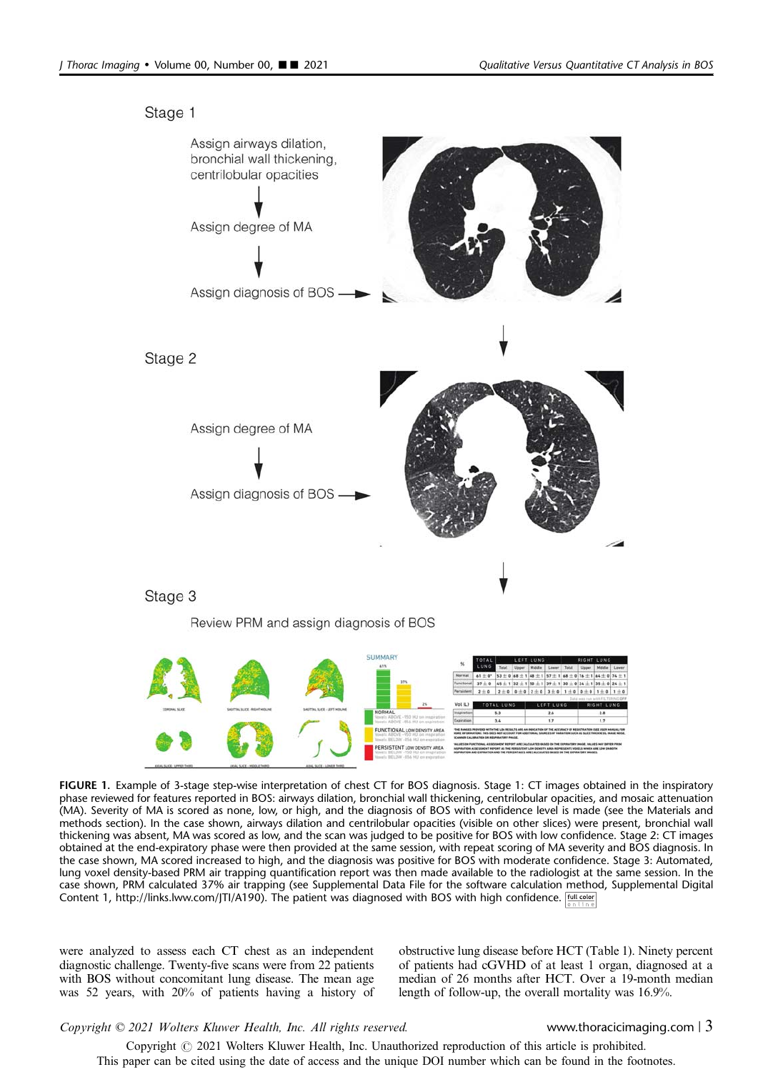<span id="page-2-0"></span>

FIGURE 1. Example of 3-stage step-wise interpretation of chest CT for BOS diagnosis. Stage 1: CT images obtained in the inspiratory phase reviewed for features reported in BOS: airways dilation, bronchial wall thickening, centrilobular opacities, and mosaic attenuation (MA). Severity of MA is scored as none, low, or high, and the diagnosis of BOS with confidence level is made (see the Materials and methods section). In the case shown, airways dilation and centrilobular opacities (visible on other slices) were present, bronchial wall thickening was absent, MA was scored as low, and the scan was judged to be positive for BOS with low confidence. Stage 2: CT images obtained at the end-expiratory phase were then provided at the same session, with repeat scoring of MA severity and BOS diagnosis. In the case shown, MA scored increased to high, and the diagnosis was positive for BOS with moderate confidence. Stage 3: Automated, lung voxel density-based PRM air trapping quantification report was then made available to the radiologist at the same session. In the case shown, PRM calculated 37% air trapping (see Supplemental Data File for the software calculation method, Supplemental Digital Content 1,<http://links.lww.com/JTI/A190>). The patient was diagnosed with BOS with high confidence.

were analyzed to assess each CT chest as an independent diagnostic challenge. Twenty-five scans were from 22 patients with BOS without concomitant lung disease. The mean age was 52 years, with 20% of patients having a history of obstructive lung disease before HCT [\(Table 1\)](#page-3-0). Ninety percent of patients had cGVHD of at least 1 organ, diagnosed at a median of 26 months after HCT. Over a 19-month median length of follow-up, the overall mortality was 16.9%.

### Copyright © 2021 Wolters Kluwer Health, Inc. All rights reserved. www.thoracicimaging.com | 3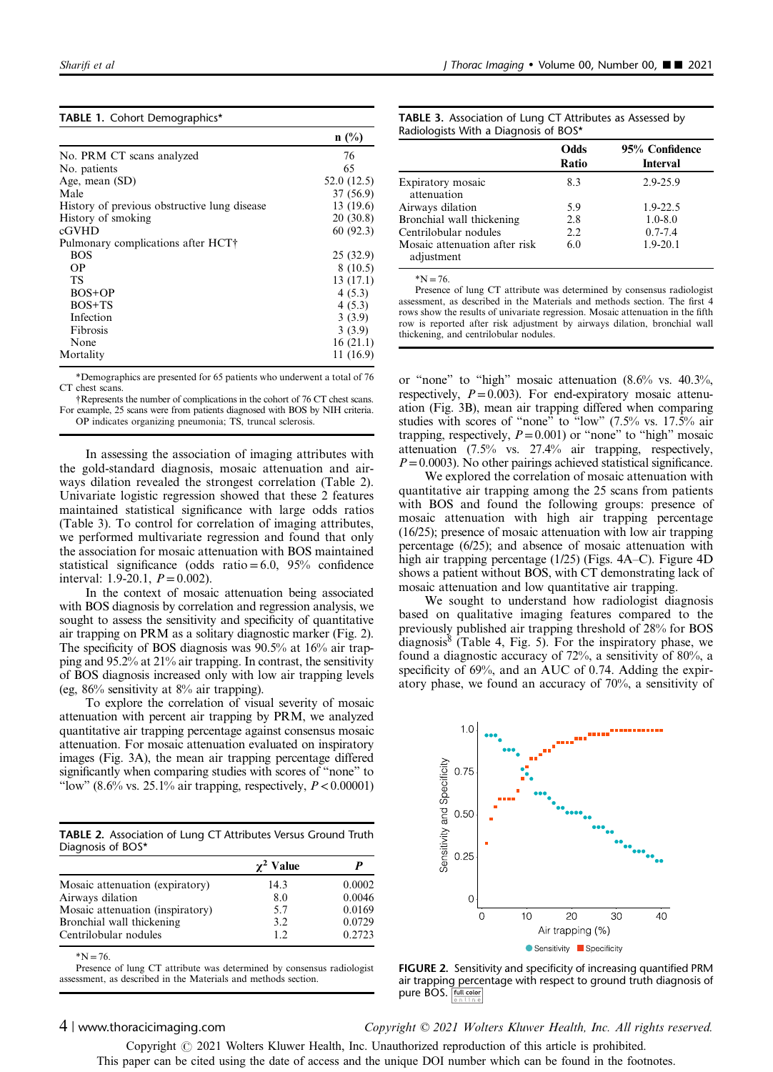<span id="page-3-0"></span>

|  |  |  | TABLE 1. Cohort Demographics* |
|--|--|--|-------------------------------|
|--|--|--|-------------------------------|

|                                              | $n(^{0}/_{0})$ |
|----------------------------------------------|----------------|
| No. PRM CT scans analyzed                    | 76             |
| No. patients                                 | 65             |
| Age, mean (SD)                               | 52.0(12.5)     |
| Male                                         | 37 (56.9)      |
| History of previous obstructive lung disease | 13 (19.6)      |
| History of smoking                           | 20(30.8)       |
| cGVHD                                        | 60(92.3)       |
| Pulmonary complications after HCT+           |                |
| <b>BOS</b>                                   | 25(32.9)       |
| OΡ                                           | 8(10.5)        |
| TS                                           | 13(17.1)       |
| BOS+OP                                       | 4(5.3)         |
| $BOS+TS$                                     | 4(5.3)         |
| Infection                                    | 3(3.9)         |
| Fibrosis                                     | 3(3.9)         |
| None                                         | 16(21.1)       |
| Mortality                                    | 11(16.9)       |

\*Demographics are presented for 65 patients who underwent a total of 76 CT chest scans.

†Represents the number of complications in the cohort of 76 CT chest scans. For example, 25 scans were from patients diagnosed with BOS by NIH criteria. OP indicates organizing pneumonia; TS, truncal sclerosis.

In assessing the association of imaging attributes with the gold-standard diagnosis, mosaic attenuation and airways dilation revealed the strongest correlation (Table 2). Univariate logistic regression showed that these 2 features maintained statistical significance with large odds ratios (Table 3). To control for correlation of imaging attributes, we performed multivariate regression and found that only the association for mosaic attenuation with BOS maintained statistical significance (odds ratio =  $6.0$ ,  $95\%$  confidence interval: 1.9-20.1,  $P = 0.002$ ).

In the context of mosaic attenuation being associated with BOS diagnosis by correlation and regression analysis, we sought to assess the sensitivity and specificity of quantitative air trapping on PRM as a solitary diagnostic marker (Fig. 2). The specificity of BOS diagnosis was 90.5% at 16% air trapping and 95.2% at 21% air trapping. In contrast, the sensitivity of BOS diagnosis increased only with low air trapping levels (eg, 86% sensitivity at 8% air trapping).

To explore the correlation of visual severity of mosaic attenuation with percent air trapping by PRM, we analyzed quantitative air trapping percentage against consensus mosaic attenuation. For mosaic attenuation evaluated on inspiratory images [\(Fig. 3A\)](#page-4-0), the mean air trapping percentage differed significantly when comparing studies with scores of "none" to "low" (8.6% vs. 25.1% air trapping, respectively,  $P < 0.00001$ )

TABLE 2. Association of Lung CT Attributes Versus Ground Truth Diagnosis of BOS\*

|                                  | $\gamma^2$ Value |        |
|----------------------------------|------------------|--------|
| Mosaic attenuation (expiratory)  | 14.3             | 0.0002 |
| Airways dilation                 | 8.0              | 0.0046 |
| Mosaic attenuation (inspiratory) | 5.7              | 0.0169 |
| Bronchial wall thickening        | 3.2              | 0.0729 |
| Centrilobular nodules            | 12               | 0.2723 |

 $*N = 76.$ 

Presence of lung CT attribute was determined by consensus radiologist assessment, as described in the Materials and methods section.

| <b>TABLE 3.</b> Association of Lung CT Attributes as Assessed by |  |  |  |  |
|------------------------------------------------------------------|--|--|--|--|
| Radiologists With a Diagnosis of BOS*                            |  |  |  |  |

|                                             | Odds<br>Ratio | 95% Confidence<br><b>Interval</b> |
|---------------------------------------------|---------------|-----------------------------------|
| Expiratory mosaic<br>attenuation            | 8.3           | $2.9 - 25.9$                      |
| Airways dilation                            | 5.9           | $1.9 - 22.5$                      |
| Bronchial wall thickening                   | 2.8           | $1.0 - 8.0$                       |
| Centrilobular nodules                       | 2.2           | $0.7 - 7.4$                       |
| Mosaic attenuation after risk<br>adjustment | 6.0           | $1.9 - 20.1$                      |

 $N = 76$ 

Presence of lung CT attribute was determined by consensus radiologist assessment, as described in the Materials and methods section. The first 4 rows show the results of univariate regression. Mosaic attenuation in the fifth row is reported after risk adjustment by airways dilation, bronchial wall thickening, and centrilobular nodules.

or "none" to "high" mosaic attenuation (8.6% vs. 40.3%, respectively,  $P=0.003$ ). For end-expiratory mosaic attenuation [\(Fig. 3B](#page-4-0)), mean air trapping differed when comparing studies with scores of "none" to "low" (7.5% vs. 17.5% air trapping, respectively,  $P=0.001$ ) or "none" to "high" mosaic attenuation (7.5% vs. 27.4% air trapping, respectively,  $P=0.0003$ ). No other pairings achieved statistical significance.

We explored the correlation of mosaic attenuation with quantitative air trapping among the 25 scans from patients with BOS and found the following groups: presence of mosaic attenuation with high air trapping percentage (16/25); presence of mosaic attenuation with low air trapping percentage (6/25); and absence of mosaic attenuation with high air trapping percentage (1/25) [\(Figs. 4A](#page-5-0)–C). [Figure 4D](#page-5-0) shows a patient without BOS, with CT demonstrating lack of mosaic attenuation and low quantitative air trapping.

We sought to understand how radiologist diagnosis based on qualitative imaging features compared to the previously published air trapping threshold of 28% for BOS diagnosis<sup>[8](#page-6-0)</sup> ([Table 4](#page-6-0), [Fig. 5](#page-6-0)). For the inspiratory phase, we found a diagnostic accuracy of 72%, a sensitivity of 80%, a specificity of 69%, and an AUC of 0.74. Adding the expiratory phase, we found an accuracy of 70%, a sensitivity of



FIGURE 2. Sensitivity and specificity of increasing quantified PRM air trapping percentage with respect to ground truth diagnosis of pure BOS. Full color

4 | www.thoracicimaging.com Copyright © 2021 Wolters Kluwer Health, Inc. All rights reserved.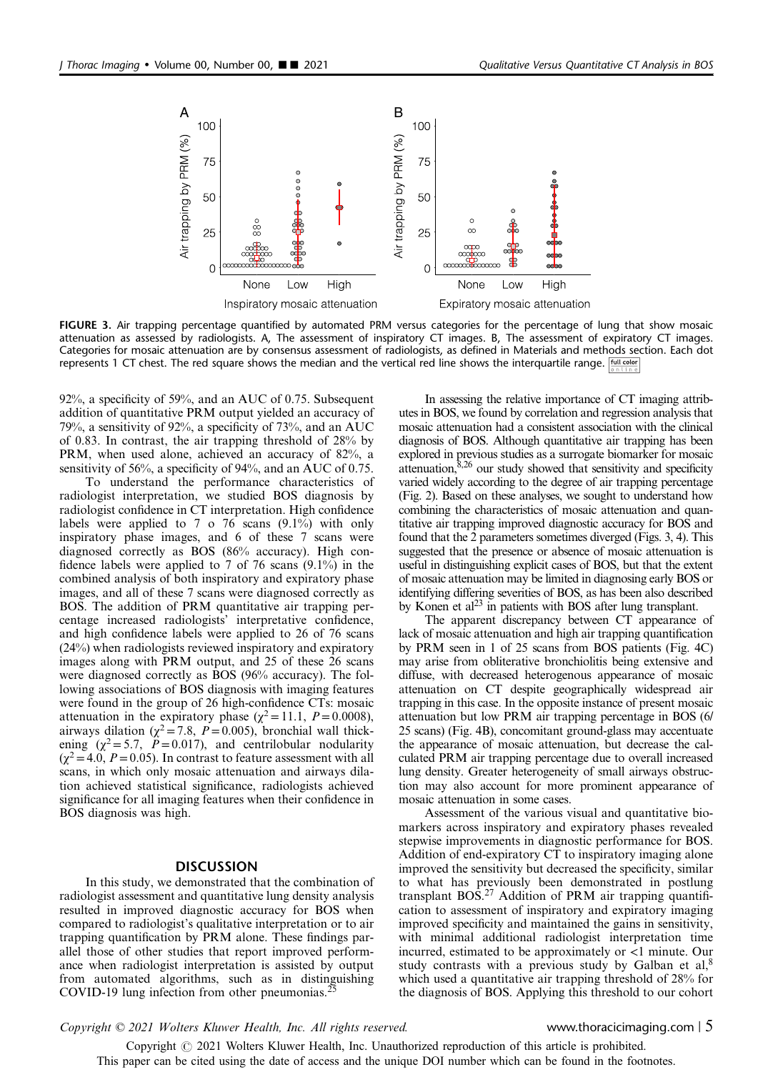<span id="page-4-0"></span>

FIGURE 3. Air trapping percentage quantified by automated PRM versus categories for the percentage of lung that show mosaic attenuation as assessed by radiologists. A, The assessment of inspiratory CT images. B, The assessment of expiratory CT images. Categories for mosaic attenuation are by consensus assessment of radiologists, as defined in Materials and methods section. Each dot represents 1 CT chest. The red square shows the median and the vertical red line shows the interquartile range.  $\frac{f_{\text{total color}}}{\text{C} \cdot \text{total color}}$ 

92%, a specificity of 59%, and an AUC of 0.75. Subsequent addition of quantitative PRM output yielded an accuracy of 79%, a sensitivity of 92%, a specificity of 73%, and an AUC of 0.83. In contrast, the air trapping threshold of 28% by PRM, when used alone, achieved an accuracy of 82%, a sensitivity of 56%, a specificity of 94%, and an AUC of 0.75.

To understand the performance characteristics of radiologist interpretation, we studied BOS diagnosis by radiologist confidence in CT interpretation. High confidence labels were applied to 7 o 76 scans (9.1%) with only inspiratory phase images, and 6 of these 7 scans were diagnosed correctly as BOS (86% accuracy). High confidence labels were applied to 7 of 76 scans (9.1%) in the combined analysis of both inspiratory and expiratory phase images, and all of these 7 scans were diagnosed correctly as BOS. The addition of PRM quantitative air trapping percentage increased radiologists' interpretative confidence, and high confidence labels were applied to 26 of 76 scans (24%) when radiologists reviewed inspiratory and expiratory images along with PRM output, and 25 of these 26 scans were diagnosed correctly as BOS (96% accuracy). The following associations of BOS diagnosis with imaging features were found in the group of 26 high-confidence CTs: mosaic attenuation in the expiratory phase ( $\chi^2$  = 11.1, P = 0.0008), airways dilation ( $\chi^2$  = 7.8, P = 0.005), bronchial wall thickening  $(\chi^2 = 5.7, P = 0.017)$ , and centrilobular nodularity  $(\chi^2 = 4.0, P = 0.05)$ . In contrast to feature assessment with all scans, in which only mosaic attenuation and airways dilation achieved statistical significance, radiologists achieved significance for all imaging features when their confidence in BOS diagnosis was high.

### **DISCUSSION**

In this study, we demonstrated that the combination of radiologist assessment and quantitative lung density analysis resulted in improved diagnostic accuracy for BOS when compared to radiologist's qualitative interpretation or to air trapping quantification by PRM alone. These findings parallel those of other studies that report improved performance when radiologist interpretation is assisted by output from automated algorithms, such as in distinguishing COVID-19 lung infection from other pneumonias.

In assessing the relative importance of CT imaging attributes in BOS, we found by correlation and regression analysis that mosaic attenuation had a consistent association with the clinical diagnosis of BOS. Although quantitative air trapping has been explored in previous studies as a surrogate biomarker for mosaic attenuation, $8,26$  our study showed that sensitivity and specificity varied widely according to the degree of air trapping percentage ([Fig. 2\)](#page-3-0). Based on these analyses, we sought to understand how combining the characteristics of mosaic attenuation and quantitative air trapping improved diagnostic accuracy for BOS and found that the 2 parameters sometimes diverged (Figs. 3, [4\)](#page-5-0). This suggested that the presence or absence of mosaic attenuation is useful in distinguishing explicit cases of BOS, but that the extent of mosaic attenuation may be limited in diagnosing early BOS or identifying differing severities of BOS, as has been also described by Konen et al<sup>23</sup> in patients with BOS after lung transplant.

The apparent discrepancy between CT appearance of lack of mosaic attenuation and high air trapping quantification by PRM seen in 1 of 25 scans from BOS patients ([Fig. 4C](#page-5-0)) may arise from obliterative bronchiolitis being extensive and diffuse, with decreased heterogenous appearance of mosaic attenuation on CT despite geographically widespread air trapping in this case. In the opposite instance of present mosaic attenuation but low PRM air trapping percentage in BOS (6/ 25 scans) [\(Fig. 4B\)](#page-5-0), concomitant ground-glass may accentuate the appearance of mosaic attenuation, but decrease the calculated PRM air trapping percentage due to overall increased lung density. Greater heterogeneity of small airways obstruction may also account for more prominent appearance of mosaic attenuation in some cases.

Assessment of the various visual and quantitative biomarkers across inspiratory and expiratory phases revealed stepwise improvements in diagnostic performance for BOS. Addition of end-expiratory CT to inspiratory imaging alone improved the sensitivity but decreased the specificity, similar to what has previously been demonstrated in postlung transplant  $BOS<sup>27</sup>$  $BOS<sup>27</sup>$  $BOS<sup>27</sup>$  Addition of PRM air trapping quantification to assessment of inspiratory and expiratory imaging improved specificity and maintained the gains in sensitivity, with minimal additional radiologist interpretation time incurred, estimated to be approximately or <1 minute. Our study contrasts with a previous study by Galban et  $al$ ,<sup>[8](#page-6-0)</sup> which used a quantitative air trapping threshold of 28% for the diagnosis of BOS. Applying this threshold to our cohort

Copyright © 2021 Wolters Kluwer Health, Inc. All rights reserved. www.thoracicimaging.com | 5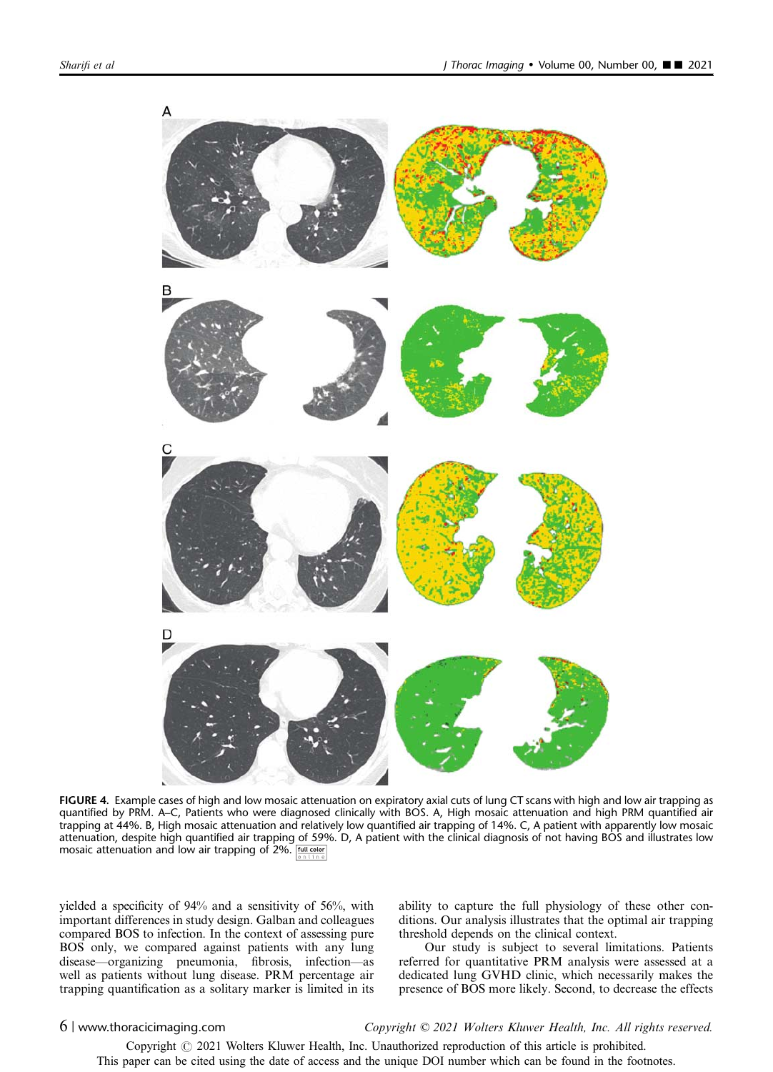<span id="page-5-0"></span>

FIGURE 4. Example cases of high and low mosaic attenuation on expiratory axial cuts of lung CT scans with high and low air trapping as quantified by PRM. A–C, Patients who were diagnosed clinically with BOS. A, High mosaic attenuation and high PRM quantified air trapping at 44%. B, High mosaic attenuation and relatively low quantified air trapping of 14%. C, A patient with apparently low mosaic attenuation, despite high quantified air trapping of 59%. D, A patient with the clinical diagnosis of not having BOS and illustrates low mosaic attenuation and low air trapping of 2%. Full color

yielded a specificity of 94% and a sensitivity of 56%, with important differences in study design. Galban and colleagues compared BOS to infection. In the context of assessing pure BOS only, we compared against patients with any lung disease—organizing pneumonia, fibrosis, infection—as well as patients without lung disease. PRM percentage air trapping quantification as a solitary marker is limited in its ability to capture the full physiology of these other conditions. Our analysis illustrates that the optimal air trapping threshold depends on the clinical context.

Our study is subject to several limitations. Patients referred for quantitative PRM analysis were assessed at a dedicated lung GVHD clinic, which necessarily makes the presence of BOS more likely. Second, to decrease the effects

### 6 | www.thoracicimaging.com Copyright © 2021 Wolters Kluwer Health, Inc. All rights reserved.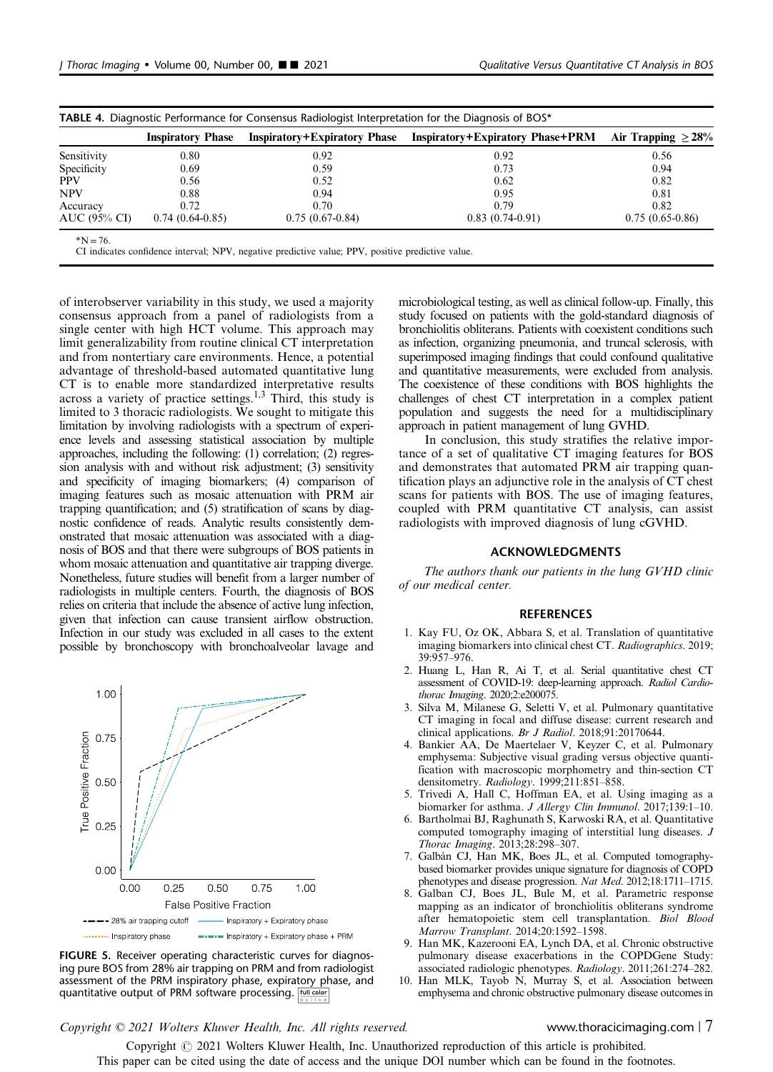<span id="page-6-0"></span>

|              | <b>Inspiratory Phase</b> | <b>Inspiratory+Expiratory Phase</b> | <b>Inspiratory+Expiratory Phase+PRM</b> | Air Trapping $\geq 28\%$ |
|--------------|--------------------------|-------------------------------------|-----------------------------------------|--------------------------|
| Sensitivity  | 0.80                     | 0.92                                | 0.92                                    | 0.56                     |
| Specificity  | 0.69                     | 0.59                                | 0.73                                    | 0.94                     |
| <b>PPV</b>   | 0.56                     | 0.52                                | 0.62                                    | 0.82                     |
| <b>NPV</b>   | 0.88                     | 0.94                                | 0.95                                    | 0.81                     |
| Accuracy     | 0.72                     | 0.70                                | 0.79                                    | 0.82                     |
| AUC (95% CI) | $0.74(0.64-0.85)$        | $0.75(0.67-0.84)$                   | $0.83(0.74-0.91)$                       | $0.75(0.65-0.86)$        |

CI indicates confidence interval; NPV, negative predictive value; PPV, positive predictive value.

of interobserver variability in this study, we used a majority consensus approach from a panel of radiologists from a single center with high HCT volume. This approach may limit generalizability from routine clinical CT interpretation and from nontertiary care environments. Hence, a potential advantage of threshold-based automated quantitative lung CT is to enable more standardized interpretative results across a variety of practice settings.<sup>1,3</sup> Third, this study is limited to 3 thoracic radiologists. We sought to mitigate this limitation by involving radiologists with a spectrum of experience levels and assessing statistical association by multiple approaches, including the following: (1) correlation; (2) regression analysis with and without risk adjustment; (3) sensitivity and specificity of imaging biomarkers; (4) comparison of imaging features such as mosaic attenuation with PRM air trapping quantification; and (5) stratification of scans by diagnostic confidence of reads. Analytic results consistently demonstrated that mosaic attenuation was associated with a diagnosis of BOS and that there were subgroups of BOS patients in whom mosaic attenuation and quantitative air trapping diverge. Nonetheless, future studies will benefit from a larger number of radiologists in multiple centers. Fourth, the diagnosis of BOS relies on criteria that include the absence of active lung infection, given that infection can cause transient airflow obstruction. Infection in our study was excluded in all cases to the extent possible by bronchoscopy with bronchoalveolar lavage and



FIGURE 5. Receiver operating characteristic curves for diagnosing pure BOS from 28% air trapping on PRM and from radiologist assessment of the PRM inspiratory phase, expiratory phase, and quantitative output of PRM software processing. **Full color** 

microbiological testing, as well as clinical follow-up. Finally, this study focused on patients with the gold-standard diagnosis of bronchiolitis obliterans. Patients with coexistent conditions such as infection, organizing pneumonia, and truncal sclerosis, with superimposed imaging findings that could confound qualitative and quantitative measurements, were excluded from analysis. The coexistence of these conditions with BOS highlights the challenges of chest CT interpretation in a complex patient population and suggests the need for a multidisciplinary approach in patient management of lung GVHD.

In conclusion, this study stratifies the relative importance of a set of qualitative CT imaging features for BOS and demonstrates that automated PRM air trapping quantification plays an adjunctive role in the analysis of CT chest scans for patients with BOS. The use of imaging features, coupled with PRM quantitative CT analysis, can assist radiologists with improved diagnosis of lung cGVHD.

### ACKNOWLEDGMENTS

The authors thank our patients in the lung GVHD clinic of our medical center.

### **REFERENCES**

- 1. Kay FU, Oz OK, Abbara S, et al. Translation of quantitative imaging biomarkers into clinical chest CT. Radiographics. 2019; 39:957–976.
- 2. Huang L, Han R, Ai T, et al. Serial quantitative chest CT assessment of COVID-19: deep-learning approach. Radiol Cardiothorac Imaging. 2020;2:e200075.
- 3. Silva M, Milanese G, Seletti V, et al. Pulmonary quantitative CT imaging in focal and diffuse disease: current research and clinical applications. Br J Radiol. 2018;91:20170644.
- 4. Bankier AA, De Maertelaer V, Keyzer C, et al. Pulmonary emphysema: Subjective visual grading versus objective quantification with macroscopic morphometry and thin-section CT densitometry. Radiology. 1999;211:851–858.
- 5. Trivedi A, Hall C, Hoffman EA, et al. Using imaging as a biomarker for asthma. J Allergy Clin Immunol. 2017;139:1-10.
- 6. Bartholmai BJ, Raghunath S, Karwoski RA, et al. Quantitative computed tomography imaging of interstitial lung diseases. J Thorac Imaging. 2013;28:298–307.
- Galbán CJ, Han MK, Boes JL, et al. Computed tomographybased biomarker provides unique signature for diagnosis of COPD phenotypes and disease progression. Nat Med. 2012;18:1711–1715.
- 8. Galban CJ, Boes JL, Bule M, et al. Parametric response mapping as an indicator of bronchiolitis obliterans syndrome after hematopoietic stem cell transplantation. Biol Blood Marrow Transplant. 2014;20:1592–1598.
- Han MK, Kazerooni EA, Lynch DA, et al. Chronic obstructive pulmonary disease exacerbations in the COPDGene Study: associated radiologic phenotypes. Radiology. 2011;261:274–282.
- 10. Han MLK, Tayob N, Murray S, et al. Association between emphysema and chronic obstructive pulmonary disease outcomes in

### Copyright © 2021 Wolters Kluwer Health, Inc. All rights reserved. www.thoracicimaging.com | 7